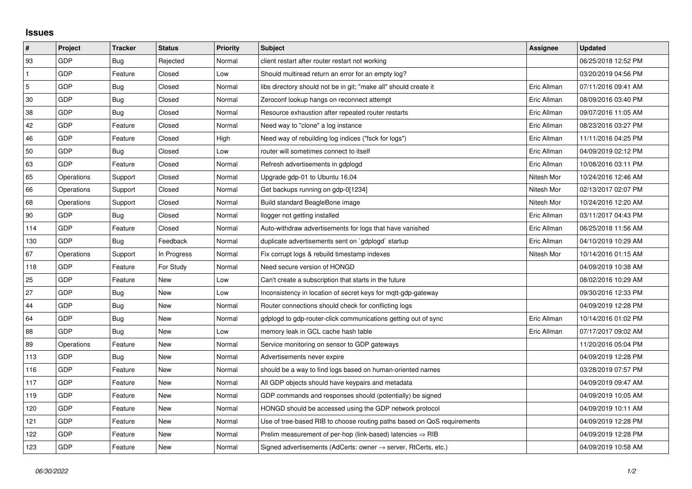## **Issues**

| $\pmb{\sharp}$ | Project    | <b>Tracker</b> | <b>Status</b> | <b>Priority</b> | <b>Subject</b>                                                             | Assignee    | <b>Updated</b>      |
|----------------|------------|----------------|---------------|-----------------|----------------------------------------------------------------------------|-------------|---------------------|
| 93             | GDP        | Bug            | Rejected      | Normal          | client restart after router restart not working                            |             | 06/25/2018 12:52 PM |
| $\mathbf{1}$   | <b>GDP</b> | Feature        | Closed        | Low             | Should multiread return an error for an empty log?                         |             | 03/20/2019 04:56 PM |
| $\sqrt{5}$     | <b>GDP</b> | Bug            | Closed        | Normal          | libs directory should not be in git; "make all" should create it           | Eric Allman | 07/11/2016 09:41 AM |
| $30\,$         | <b>GDP</b> | <b>Bug</b>     | Closed        | Normal          | Zeroconf lookup hangs on reconnect attempt                                 | Eric Allman | 08/09/2016 03:40 PM |
| 38             | <b>GDP</b> | Bug            | Closed        | Normal          | Resource exhaustion after repeated router restarts                         | Eric Allman | 09/07/2016 11:05 AM |
| 42             | <b>GDP</b> | Feature        | Closed        | Normal          | Need way to "clone" a log instance                                         | Eric Allman | 08/23/2016 03:27 PM |
| 46             | GDP        | Feature        | Closed        | High            | Need way of rebuilding log indices ("fsck for logs")                       | Eric Allman | 11/11/2016 04:25 PM |
| 50             | GDP        | Bug            | Closed        | Low             | router will sometimes connect to itself                                    | Eric Allman | 04/09/2019 02:12 PM |
| 63             | <b>GDP</b> | Feature        | Closed        | Normal          | Refresh advertisements in gdplogd                                          | Eric Allman | 10/08/2016 03:11 PM |
| 65             | Operations | Support        | Closed        | Normal          | Upgrade gdp-01 to Ubuntu 16.04                                             | Nitesh Mor  | 10/24/2016 12:46 AM |
| 66             | Operations | Support        | Closed        | Normal          | Get backups running on gdp-0[1234]                                         | Nitesh Mor  | 02/13/2017 02:07 PM |
| 68             | Operations | Support        | Closed        | Normal          | Build standard BeagleBone image                                            | Nitesh Mor  | 10/24/2016 12:20 AM |
| 90             | <b>GDP</b> | Bug            | Closed        | Normal          | llogger not getting installed                                              | Eric Allman | 03/11/2017 04:43 PM |
| 114            | <b>GDP</b> | Feature        | Closed        | Normal          | Auto-withdraw advertisements for logs that have vanished                   | Eric Allman | 06/25/2018 11:56 AM |
| 130            | <b>GDP</b> | <b>Bug</b>     | Feedback      | Normal          | duplicate advertisements sent on `gdplogd` startup                         | Eric Allman | 04/10/2019 10:29 AM |
| 67             | Operations | Support        | In Progress   | Normal          | Fix corrupt logs & rebuild timestamp indexes                               | Nitesh Mor  | 10/14/2016 01:15 AM |
| 118            | GDP        | Feature        | For Study     | Normal          | Need secure version of HONGD                                               |             | 04/09/2019 10:38 AM |
| 25             | GDP        | Feature        | New           | Low             | Can't create a subscription that starts in the future                      |             | 08/02/2016 10:29 AM |
| 27             | <b>GDP</b> | Bug            | <b>New</b>    | Low             | Inconsistency in location of secret keys for mgtt-gdp-gateway              |             | 09/30/2016 12:33 PM |
| 44             | GDP        | Bug            | <b>New</b>    | Normal          | Router connections should check for conflicting logs                       |             | 04/09/2019 12:28 PM |
| 64             | GDP        | Bug            | New           | Normal          | gdplogd to gdp-router-click communications getting out of sync             | Eric Allman | 10/14/2016 01:02 PM |
| 88             | <b>GDP</b> | Bug            | <b>New</b>    | Low             | memory leak in GCL cache hash table                                        | Eric Allman | 07/17/2017 09:02 AM |
| 89             | Operations | Feature        | <b>New</b>    | Normal          | Service monitoring on sensor to GDP gateways                               |             | 11/20/2016 05:04 PM |
| 113            | <b>GDP</b> | Bug            | New           | Normal          | Advertisements never expire                                                |             | 04/09/2019 12:28 PM |
| 116            | <b>GDP</b> | Feature        | <b>New</b>    | Normal          | should be a way to find logs based on human-oriented names                 |             | 03/28/2019 07:57 PM |
| 117            | <b>GDP</b> | Feature        | New           | Normal          | All GDP objects should have keypairs and metadata                          |             | 04/09/2019 09:47 AM |
| 119            | <b>GDP</b> | Feature        | New           | Normal          | GDP commands and responses should (potentially) be signed                  |             | 04/09/2019 10:05 AM |
| 120            | <b>GDP</b> | Feature        | <b>New</b>    | Normal          | HONGD should be accessed using the GDP network protocol                    |             | 04/09/2019 10:11 AM |
| 121            | GDP        | Feature        | New           | Normal          | Use of tree-based RIB to choose routing paths based on QoS requirements    |             | 04/09/2019 12:28 PM |
| 122            | GDP        | Feature        | New           | Normal          | Prelim measurement of per-hop (link-based) latencies $\Rightarrow$ RIB     |             | 04/09/2019 12:28 PM |
| 123            | GDP        | Feature        | <b>New</b>    | Normal          | Signed advertisements (AdCerts: owner $\rightarrow$ server, RtCerts, etc.) |             | 04/09/2019 10:58 AM |